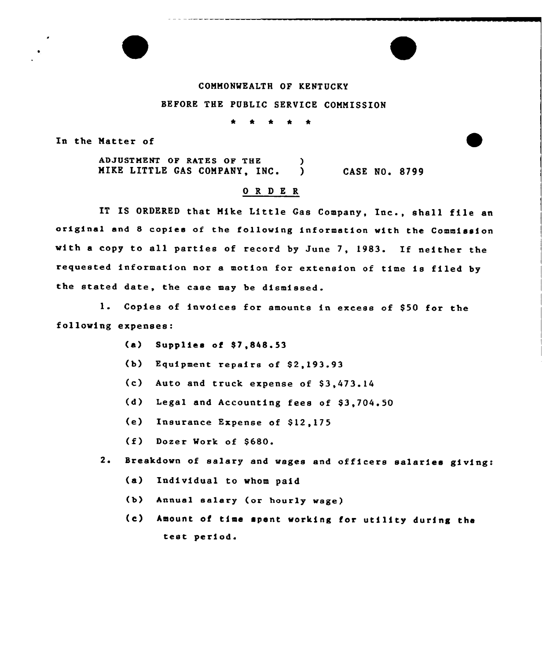## COMMONWEALTH OF KENTUCKY

## BEFORE THE PUBLIC SERVICE COMMISSION

 $\bullet$  $\rightarrow$  $\bullet$  $\rightarrow$ 

In the Matter of

ADJUSTMENT OF RATES OF THE )<br>MIKE LITTLE GAS COMPANY, INC. ) MIKE LITTLE GAS COMPANY, INC. ) CASE NO. 8799

## 0 R <sup>D</sup> E R

IT IS ORDERED that Mike Little Gas Company, Inc., shall file an origfnal and <sup>8</sup> copies of the following information with the Commission with <sup>a</sup> copy to all parties of record by June 7, 1983. If neither the requested information nor a motion for extension of time is filed by the stated date, the case may be dismissed.

1. Copies of invoices for amounts in excess of \$50 for the following expenses:

- $(a)$  Supplies of  $$7,848.53$
- (b) Equipment repairs of  $$2,193.93$
- (c) Auto and truck expense of  $$3,473.14$
- (d) Legal and Accounting fees of \$3,704.50
- (e) Insurance Expense of \$12,175
- {f) Dozer Work of \$ 680.

## 2. Breakdown of salary and wages and officers salaries giving:

- {a) Individual to whom paid
- (b) Annual salary (or hourly wage)
- (c) Amount of time spent working for utility during the test period.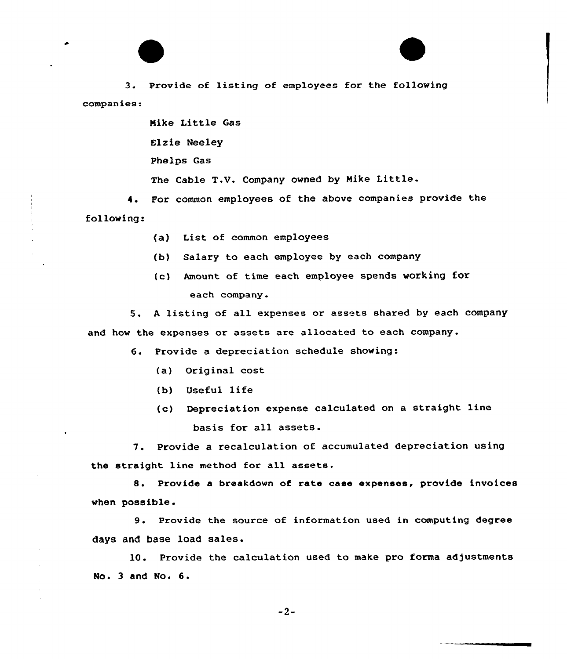3. Provide of listing of employees for the following companies:

Mike Little Gas

Elzie Neeley

Phelps Gas

The Cable T.V. Company owned by Nike Little.

4. For common employees of the above companies provide the following:

- (a) List of common employees
- (b) Salary to each employee by each company
- (c) Amount of time each employee spends working for each company.

5. A listing of all expenses or assets shared by each company and how the expenses or assets are allocated to each company.

6. Provide <sup>a</sup> depreciation schedule showing:

- (a) Original cost
- (b) Useful life
- (c) Depreciation expense calculated on a straight line basis for all assets.

7. Provide a recalculation of accumulated depreciation using the straight line method for all assets.

8. Provide <sup>a</sup> breakdown of rate case expenses, provide invoices when possible.

9. Provide the source of information used in computing degree days and base load sales.

10. Provide the calculation used to make pro forma adjustments No. <sup>3</sup> and No. 6.

 $-2-$